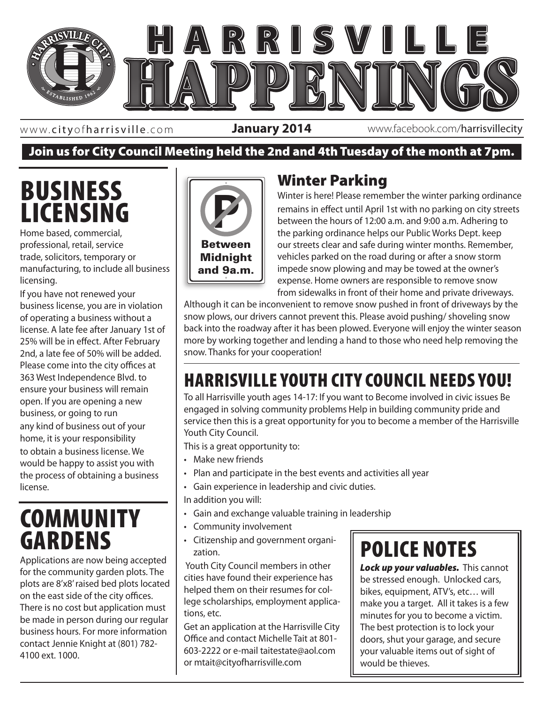

www. cityofharrisville .com

**January 2014** www.facebook.com/harrisvillecity

## Join us for City Council Meeting held the 2nd and 4th Tuesday of the month at 7pm.

## BUSINESS LICENSING

Home based, commercial, professional, retail, service trade, solicitors, temporary or manufacturing, to include all business licensing.

If you have not renewed your business license, you are in violation of operating a business without a license. A late fee after January 1st of 25% will be in effect. After February 2nd, a late fee of 50% will be added. Please come into the city offices at 363 West Independence Blvd. to ensure your business will remain open. If you are opening a new business, or going to run any kind of business out of your home, it is your responsibility to obtain a business license. We would be happy to assist you with the process of obtaining a business license.

## **COMMUNITY** GARDENS

Applications are now being accepted for the community garden plots. The plots are 8'x8' raised bed plots located on the east side of the city offices. There is no cost but application must be made in person during our regular business hours. For more information contact Jennie Knight at (801) 782- 4100 ext. 1000.



## Winter Parking

Winter is here! Please remember the winter parking ordinance remains in effect until April 1st with no parking on city streets between the hours of 12:00 a.m. and 9:00 a.m. Adhering to the parking ordinance helps our Public Works Dept. keep our streets clear and safe during winter months. Remember, vehicles parked on the road during or after a snow storm impede snow plowing and may be towed at the owner's expense. Home owners are responsible to remove snow from sidewalks in front of their home and private driveways.

Although it can be inconvenient to remove snow pushed in front of driveways by the snow plows, our drivers cannot prevent this. Please avoid pushing/ shoveling snow back into the roadway after it has been plowed. Everyone will enjoy the winter season more by working together and lending a hand to those who need help removing the snow. Thanks for your cooperation!

### 363 West Independence • Harrisville, Utah 84404 HARRISVILLE YOUTH CITY COUNCIL NEEDS YOU!

To all Harrisville youth ages 14-17: If you want to Become involved in civic issues Be engaged in solving community problems Help in building community pride and service then this is a great opportunity for you to become a member of the Harrisville Youth City Council.

This is a great opportunity to:

- Make new friends
- Plan and participate in the best events and activities all year
- Gain experience in leadership and civic duties.

In addition you will:

- Gain and exchange valuable training in leadership
- Community involvement
- Citizenship and government organization.

 Youth City Council members in other cities have found their experience has helped them on their resumes for college scholarships, employment applications, etc.

Get an application at the Harrisville City Office and contact Michelle Tait at 801- 603-2222 or e-mail taitestate@aol.com or mtait@cityofharrisville.com

# POLICE NOTES

*Lock up your valuables.* This cannot be stressed enough. Unlocked cars, bikes, equipment, ATV's, etc… will make you a target. All it takes is a few minutes for you to become a victim. The best protection is to lock your doors, shut your garage, and secure your valuable items out of sight of would be thieves.